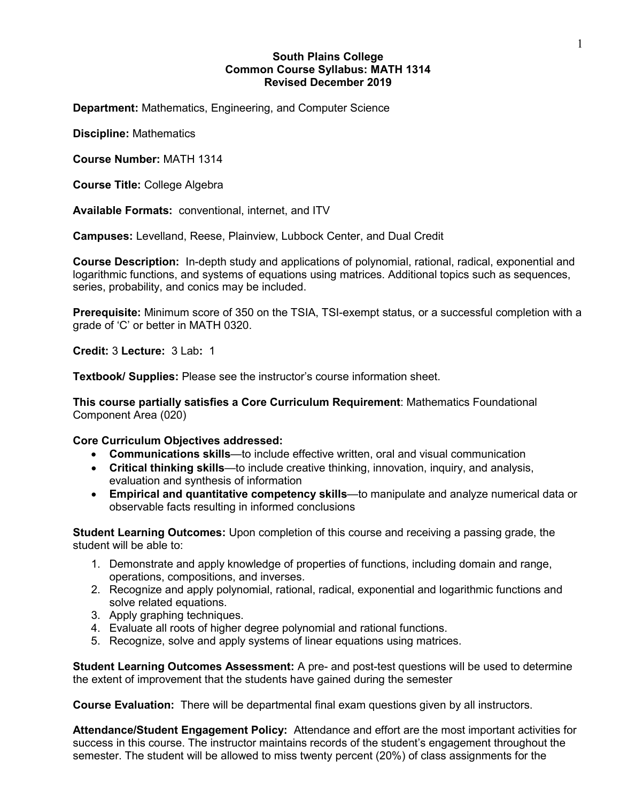## **South Plains College Common Course Syllabus: MATH 1314 Revised December 2019**

**Department:** Mathematics, Engineering, and Computer Science

**Discipline:** Mathematics

**Course Number:** MATH 1314

**Course Title:** College Algebra

**Available Formats:** conventional, internet, and ITV

**Campuses:** Levelland, Reese, Plainview, Lubbock Center, and Dual Credit

**Course Description:** In-depth study and applications of polynomial, rational, radical, exponential and logarithmic functions, and systems of equations using matrices. Additional topics such as sequences, series, probability, and conics may be included.

**Prerequisite:** Minimum score of 350 on the TSIA, TSI-exempt status, or a successful completion with a grade of 'C' or better in MATH 0320.

**Credit:** 3 **Lecture:** 3 Lab**:** 1

**Textbook/ Supplies:** Please see the instructor's course information sheet.

**This course partially satisfies a Core Curriculum Requirement**: Mathematics Foundational Component Area (020)

#### **Core Curriculum Objectives addressed:**

- **Communications skills**—to include effective written, oral and visual communication
- **Critical thinking skills**—to include creative thinking, innovation, inquiry, and analysis, evaluation and synthesis of information
- **Empirical and quantitative competency skills**—to manipulate and analyze numerical data or observable facts resulting in informed conclusions

**Student Learning Outcomes:** Upon completion of this course and receiving a passing grade, the student will be able to:

- 1. Demonstrate and apply knowledge of properties of functions, including domain and range, operations, compositions, and inverses.
- 2. Recognize and apply polynomial, rational, radical, exponential and logarithmic functions and solve related equations.
- 3. Apply graphing techniques.
- 4. Evaluate all roots of higher degree polynomial and rational functions.
- 5. Recognize, solve and apply systems of linear equations using matrices.

**Student Learning Outcomes Assessment:** A pre- and post-test questions will be used to determine the extent of improvement that the students have gained during the semester

**Course Evaluation:** There will be departmental final exam questions given by all instructors.

**Attendance/Student Engagement Policy:** Attendance and effort are the most important activities for success in this course. The instructor maintains records of the student's engagement throughout the semester. The student will be allowed to miss twenty percent (20%) of class assignments for the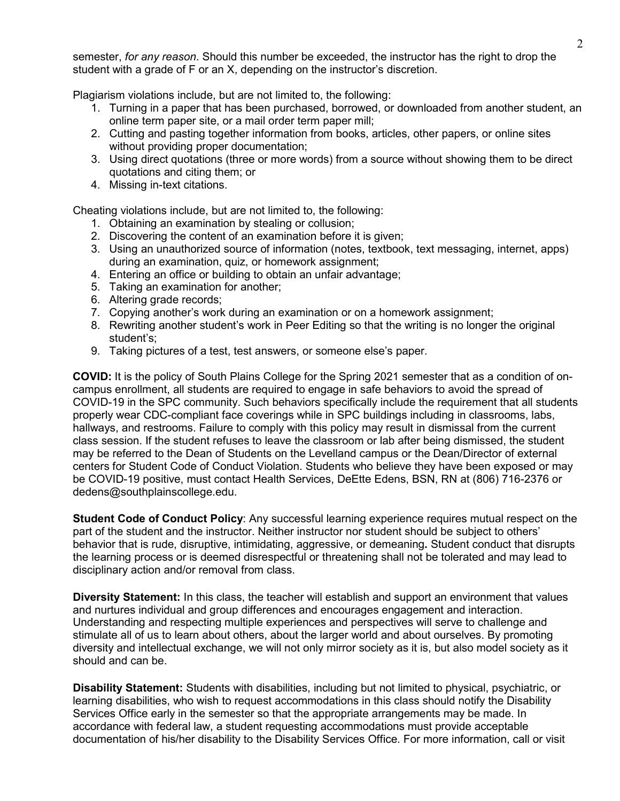semester, *for any reason*. Should this number be exceeded, the instructor has the right to drop the student with a grade of F or an X, depending on the instructor's discretion.

Plagiarism violations include, but are not limited to, the following:

- 1. Turning in a paper that has been purchased, borrowed, or downloaded from another student, an online term paper site, or a mail order term paper mill;
- 2. Cutting and pasting together information from books, articles, other papers, or online sites without providing proper documentation;
- 3. Using direct quotations (three or more words) from a source without showing them to be direct quotations and citing them; or
- 4. Missing in-text citations.

Cheating violations include, but are not limited to, the following:

- 1. Obtaining an examination by stealing or collusion;
- 2. Discovering the content of an examination before it is given;
- 3. Using an unauthorized source of information (notes, textbook, text messaging, internet, apps) during an examination, quiz, or homework assignment;
- 4. Entering an office or building to obtain an unfair advantage;
- 5. Taking an examination for another;
- 6. Altering grade records;
- 7. Copying another's work during an examination or on a homework assignment;
- 8. Rewriting another student's work in Peer Editing so that the writing is no longer the original student's;
- 9. Taking pictures of a test, test answers, or someone else's paper.

**COVID:** It is the policy of South Plains College for the Spring 2021 semester that as a condition of oncampus enrollment, all students are required to engage in safe behaviors to avoid the spread of COVID-19 in the SPC community. Such behaviors specifically include the requirement that all students properly wear CDC-compliant face coverings while in SPC buildings including in classrooms, labs, hallways, and restrooms. Failure to comply with this policy may result in dismissal from the current class session. If the student refuses to leave the classroom or lab after being dismissed, the student may be referred to the Dean of Students on the Levelland campus or the Dean/Director of external centers for Student Code of Conduct Violation. Students who believe they have been exposed or may be COVID-19 positive, must contact Health Services, DeEtte Edens, BSN, RN at (806) 716-2376 or dedens@southplainscollege.edu.

**Student Code of Conduct Policy**: Any successful learning experience requires mutual respect on the part of the student and the instructor. Neither instructor nor student should be subject to others' behavior that is rude, disruptive, intimidating, aggressive, or demeaning**.** Student conduct that disrupts the learning process or is deemed disrespectful or threatening shall not be tolerated and may lead to disciplinary action and/or removal from class.

**Diversity Statement:** In this class, the teacher will establish and support an environment that values and nurtures individual and group differences and encourages engagement and interaction. Understanding and respecting multiple experiences and perspectives will serve to challenge and stimulate all of us to learn about others, about the larger world and about ourselves. By promoting diversity and intellectual exchange, we will not only mirror society as it is, but also model society as it should and can be.

**Disability Statement:** Students with disabilities, including but not limited to physical, psychiatric, or learning disabilities, who wish to request accommodations in this class should notify the Disability Services Office early in the semester so that the appropriate arrangements may be made. In accordance with federal law, a student requesting accommodations must provide acceptable documentation of his/her disability to the Disability Services Office. For more information, call or visit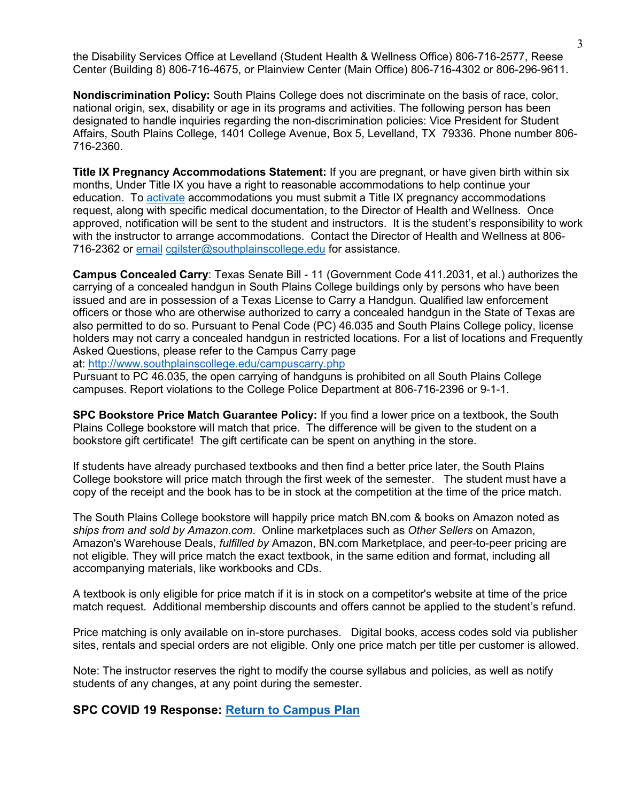the Disability Services Office at Levelland (Student Health & Wellness Office) 806-716-2577, Reese Center (Building 8) 806-716-4675, or Plainview Center (Main Office) 806-716-4302 or 806-296-9611.

**Nondiscrimination Policy:** South Plains College does not discriminate on the basis of race, color, national origin, sex, disability or age in its programs and activities. The following person has been designated to handle inquiries regarding the non-discrimination policies: Vice President for Student Affairs, South Plains College, 1401 College Avenue, Box 5, Levelland, TX 79336. Phone number 806- 716-2360.

**Title IX Pregnancy Accommodations Statement:** If you are pregnant, or have given birth within six months, Under Title IX you have a right to reasonable accommodations to help continue your education. To [activate](http://www.southplainscollege.edu/employees/manualshandbooks/facultyhandbook/sec4.php) accommodations you must submit a Title IX pregnancy accommodations request, along with specific medical documentation, to the Director of Health and Wellness. Once approved, notification will be sent to the student and instructors. It is the student's responsibility to work with the instructor to arrange accommodations. Contact the Director of Health and Wellness at 806 716-2362 or [email](http://www.southplainscollege.edu/employees/manualshandbooks/facultyhandbook/sec4.php) [cgilster@southplainscollege.edu](mailto:cgilster@southplainscollege.edu) for assistance.

**Campus Concealed Carry**: Texas Senate Bill - 11 (Government Code 411.2031, et al.) authorizes the carrying of a concealed handgun in South Plains College buildings only by persons who have been issued and are in possession of a Texas License to Carry a Handgun. Qualified law enforcement officers or those who are otherwise authorized to carry a concealed handgun in the State of Texas are also permitted to do so. Pursuant to Penal Code (PC) 46.035 and South Plains College policy, license holders may not carry a concealed handgun in restricted locations. For a list of locations and Frequently Asked Questions, please refer to the Campus Carry page

at: <http://www.southplainscollege.edu/campuscarry.php>

Pursuant to PC 46.035, the open carrying of handguns is prohibited on all South Plains College campuses. Report violations to the College Police Department at 806-716-2396 or 9-1-1.

**SPC Bookstore Price Match Guarantee Policy:** If you find a lower price on a textbook, the South Plains College bookstore will match that price. The difference will be given to the student on a bookstore gift certificate! The gift certificate can be spent on anything in the store.

If students have already purchased textbooks and then find a better price later, the South Plains College bookstore will price match through the first week of the semester. The student must have a copy of the receipt and the book has to be in stock at the competition at the time of the price match.

The South Plains College bookstore will happily price match BN.com & books on Amazon noted as *ships from and sold by Amazon.com*. Online marketplaces such as *Other Sellers* on Amazon, Amazon's Warehouse Deals, *fulfilled by* Amazon, BN.com Marketplace, and peer-to-peer pricing are not eligible. They will price match the exact textbook, in the same edition and format, including all accompanying materials, like workbooks and CDs.

A textbook is only eligible for price match if it is in stock on a competitor's website at time of the price match request. Additional membership discounts and offers cannot be applied to the student's refund.

Price matching is only available on in-store purchases. Digital books, access codes sold via publisher sites, rentals and special orders are not eligible. Only one price match per title per customer is allowed.

Note: The instructor reserves the right to modify the course syllabus and policies, as well as notify students of any changes, at any point during the semester.

## **SPC COVID 19 Response: [Return to Campus Plan](http://www.southplainscollege.edu/emergency/return-to-campus-plan.php)**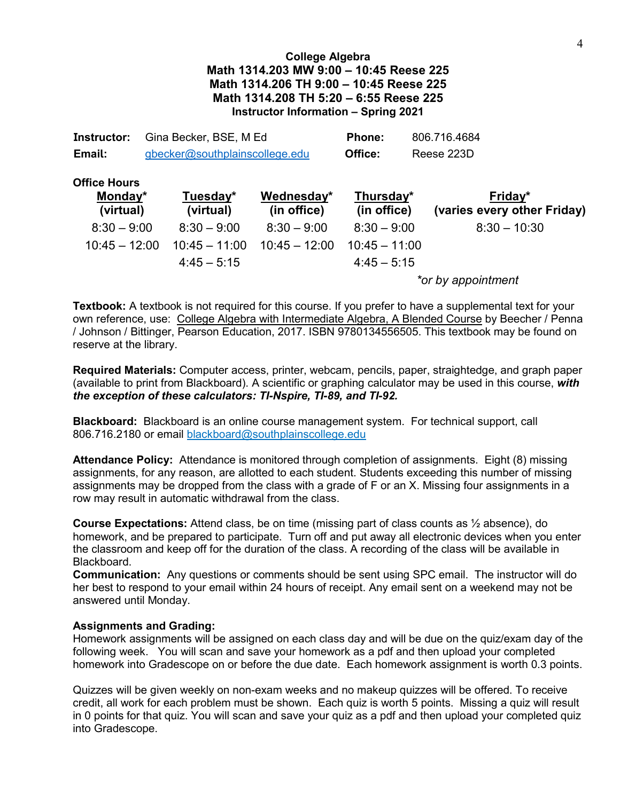# **College Algebra Math 1314.203 MW 9:00 – 10:45 Reese 225 Math 1314.206 TH 9:00 – 10:45 Reese 225 Math 1314.208 TH 5:20 – 6:55 Reese 225 Instructor Information – Spring 2021**

| Instructor: | Gina Becker, BSE, M Ed         | <b>Phone:</b> | 806.716.4684 |
|-------------|--------------------------------|---------------|--------------|
| Email:      | gbecker@southplainscollege.edu | Office:       | Reese 223D   |

| <b>Office Hours</b><br>Monday*<br>(virtual) | Tuesday*<br>(virtual) | Wednesday*<br>(in office) | Thursday*<br>(in office) | Friday*<br>(varies every other Friday) |
|---------------------------------------------|-----------------------|---------------------------|--------------------------|----------------------------------------|
| $8:30 - 9:00$                               | $8:30 - 9:00$         | $8:30 - 9:00$             | $8:30 - 9:00$            | $8:30 - 10:30$                         |
| $10:45 - 12:00$                             | $10:45 - 11:00$       | $10:45 - 12:00$           | $10:45 - 11:00$          |                                        |
|                                             | $4:45-5:15$           |                           | $4:45 - 5:15$            |                                        |
|                                             |                       |                           |                          | .                                      |

*\*or by appointment*

**Textbook:** A textbook is not required for this course. If you prefer to have a supplemental text for your own reference, use: College Algebra with Intermediate Algebra, A Blended Course by Beecher / Penna / Johnson / Bittinger, Pearson Education, 2017. ISBN 9780134556505. This textbook may be found on reserve at the library.

**Required Materials:** Computer access, printer, webcam, pencils, paper, straightedge, and graph paper (available to print from Blackboard). A scientific or graphing calculator may be used in this course, *with the exception of these calculators: TI-Nspire, TI-89, and TI-92.*

**Blackboard:** Blackboard is an online course management system. For technical support, call 806.716.2180 or email [blackboard@southplainscollege.edu](mailto:blackboard@southplainscollege.edu)

**Attendance Policy:** Attendance is monitored through completion of assignments. Eight (8) missing assignments, for any reason, are allotted to each student. Students exceeding this number of missing assignments may be dropped from the class with a grade of F or an X. Missing four assignments in a row may result in automatic withdrawal from the class.

**Course Expectations:** Attend class, be on time (missing part of class counts as ½ absence), do homework, and be prepared to participate. Turn off and put away all electronic devices when you enter the classroom and keep off for the duration of the class. A recording of the class will be available in Blackboard.

**Communication:** Any questions or comments should be sent using SPC email. The instructor will do her best to respond to your email within 24 hours of receipt. Any email sent on a weekend may not be answered until Monday.

### **Assignments and Grading:**

Homework assignments will be assigned on each class day and will be due on the quiz/exam day of the following week. You will scan and save your homework as a pdf and then upload your completed homework into Gradescope on or before the due date. Each homework assignment is worth 0.3 points.

Quizzes will be given weekly on non-exam weeks and no makeup quizzes will be offered. To receive credit, all work for each problem must be shown. Each quiz is worth 5 points. Missing a quiz will result in 0 points for that quiz. You will scan and save your quiz as a pdf and then upload your completed quiz into Gradescope.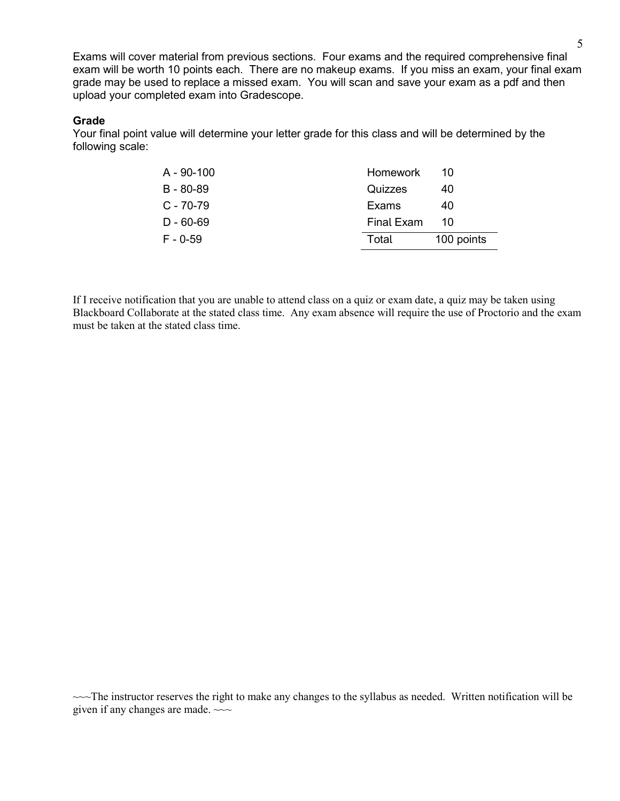Exams will cover material from previous sections. Four exams and the required comprehensive final exam will be worth 10 points each. There are no makeup exams. If you miss an exam, your final exam grade may be used to replace a missed exam. You will scan and save your exam as a pdf and then upload your completed exam into Gradescope.

#### **Grade**

Your final point value will determine your letter grade for this class and will be determined by the following scale:

| $A - 90 - 100$ | <b>Homework</b> | 10         |
|----------------|-----------------|------------|
| B - 80-89      | Quizzes         | 40         |
| $C - 70 - 79$  | Exams           | 40         |
| $D - 60 - 69$  | Final Exam      | 10         |
| $F - 0.59$     | Total           | 100 points |

If I receive notification that you are unable to attend class on a quiz or exam date, a quiz may be taken using Blackboard Collaborate at the stated class time. Any exam absence will require the use of Proctorio and the exam must be taken at the stated class time.

 $\sim$  The instructor reserves the right to make any changes to the syllabus as needed. Written notification will be given if any changes are made.  $\sim\sim$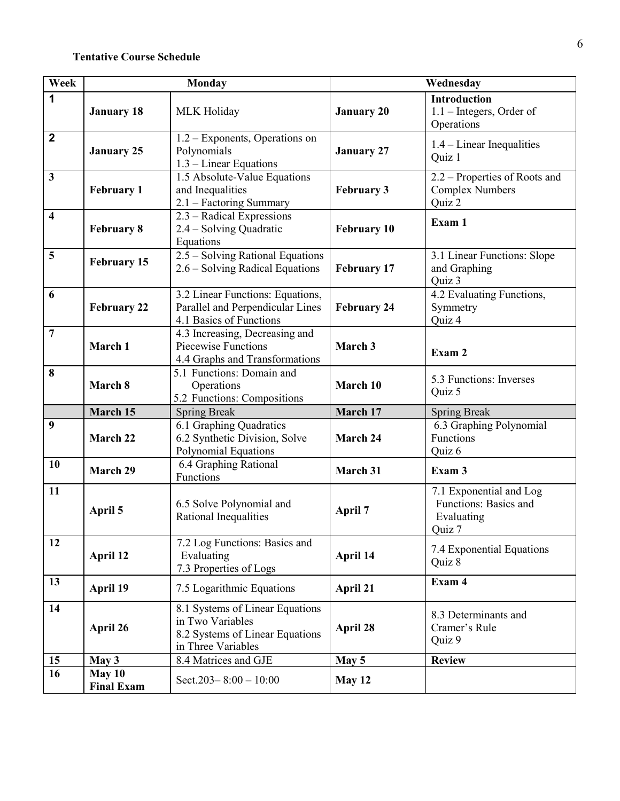# **Tentative Course Schedule**

| Week                    | <b>Monday</b>               |                                                                                                              | Wednesday          |                                                                          |
|-------------------------|-----------------------------|--------------------------------------------------------------------------------------------------------------|--------------------|--------------------------------------------------------------------------|
| 1                       | <b>January 18</b>           | MLK Holiday                                                                                                  | <b>January 20</b>  | <b>Introduction</b><br>$1.1$ – Integers, Order of<br>Operations          |
| $\mathbf 2$             | <b>January 25</b>           | 1.2 – Exponents, Operations on<br>Polynomials<br>1.3 – Linear Equations                                      | <b>January 27</b>  | $1.4$ – Linear Inequalities<br>Quiz 1                                    |
| $\mathbf{3}$            | <b>February 1</b>           | 1.5 Absolute-Value Equations<br>and Inequalities<br>2.1 - Factoring Summary                                  | <b>February 3</b>  | 2.2 - Properties of Roots and<br><b>Complex Numbers</b><br>Quiz 2        |
| $\overline{\mathbf{4}}$ | <b>February 8</b>           | 2.3 - Radical Expressions<br>2.4 – Solving Quadratic<br>Equations                                            | <b>February 10</b> | Exam 1                                                                   |
| 5                       | <b>February 15</b>          | 2.5 - Solving Rational Equations<br>2.6 - Solving Radical Equations                                          | <b>February 17</b> | 3.1 Linear Functions: Slope<br>and Graphing<br>Quiz 3                    |
| 6                       | <b>February 22</b>          | 3.2 Linear Functions: Equations,<br>Parallel and Perpendicular Lines<br>4.1 Basics of Functions              | <b>February 24</b> | 4.2 Evaluating Functions,<br>Symmetry<br>Quiz 4                          |
| $\overline{7}$          | March 1                     | 4.3 Increasing, Decreasing and<br>Piecewise Functions<br>4.4 Graphs and Transformations                      | March 3            | Exam 2                                                                   |
| 8                       | March 8                     | 5.1 Functions: Domain and<br>Operations<br>5.2 Functions: Compositions                                       | March 10           | 5.3 Functions: Inverses<br>Quiz 5                                        |
|                         | March 15                    | <b>Spring Break</b>                                                                                          | March 17           | <b>Spring Break</b>                                                      |
| 9                       | March 22                    | 6.1 Graphing Quadratics<br>6.2 Synthetic Division, Solve<br>Polynomial Equations                             | March 24           | 6.3 Graphing Polynomial<br>Functions<br>Quiz 6                           |
| 10                      | <b>March 29</b>             | 6.4 Graphing Rational<br>Functions                                                                           | March 31           | Exam 3                                                                   |
| 11                      | April 5                     | 6.5 Solve Polynomial and<br>Rational Inequalities                                                            | <b>April 7</b>     | 7.1 Exponential and Log<br>Functions: Basics and<br>Evaluating<br>Quiz 7 |
| 12                      | April 12                    | 7.2 Log Functions: Basics and<br>Evaluating<br>7.3 Properties of Logs                                        | April 14           | 7.4 Exponential Equations<br>Quiz 8                                      |
| 13                      | April 19                    | 7.5 Logarithmic Equations                                                                                    | April 21           | Exam 4                                                                   |
| 14                      | April 26                    | 8.1 Systems of Linear Equations<br>in Two Variables<br>8.2 Systems of Linear Equations<br>in Three Variables | April 28           | 8.3 Determinants and<br>Cramer's Rule<br>Quiz 9                          |
| 15                      | May 3                       | 8.4 Matrices and GJE                                                                                         | May 5              | <b>Review</b>                                                            |
| 16                      | May 10<br><b>Final Exam</b> | Sect. $203 - 8:00 - 10:00$                                                                                   | May 12             |                                                                          |